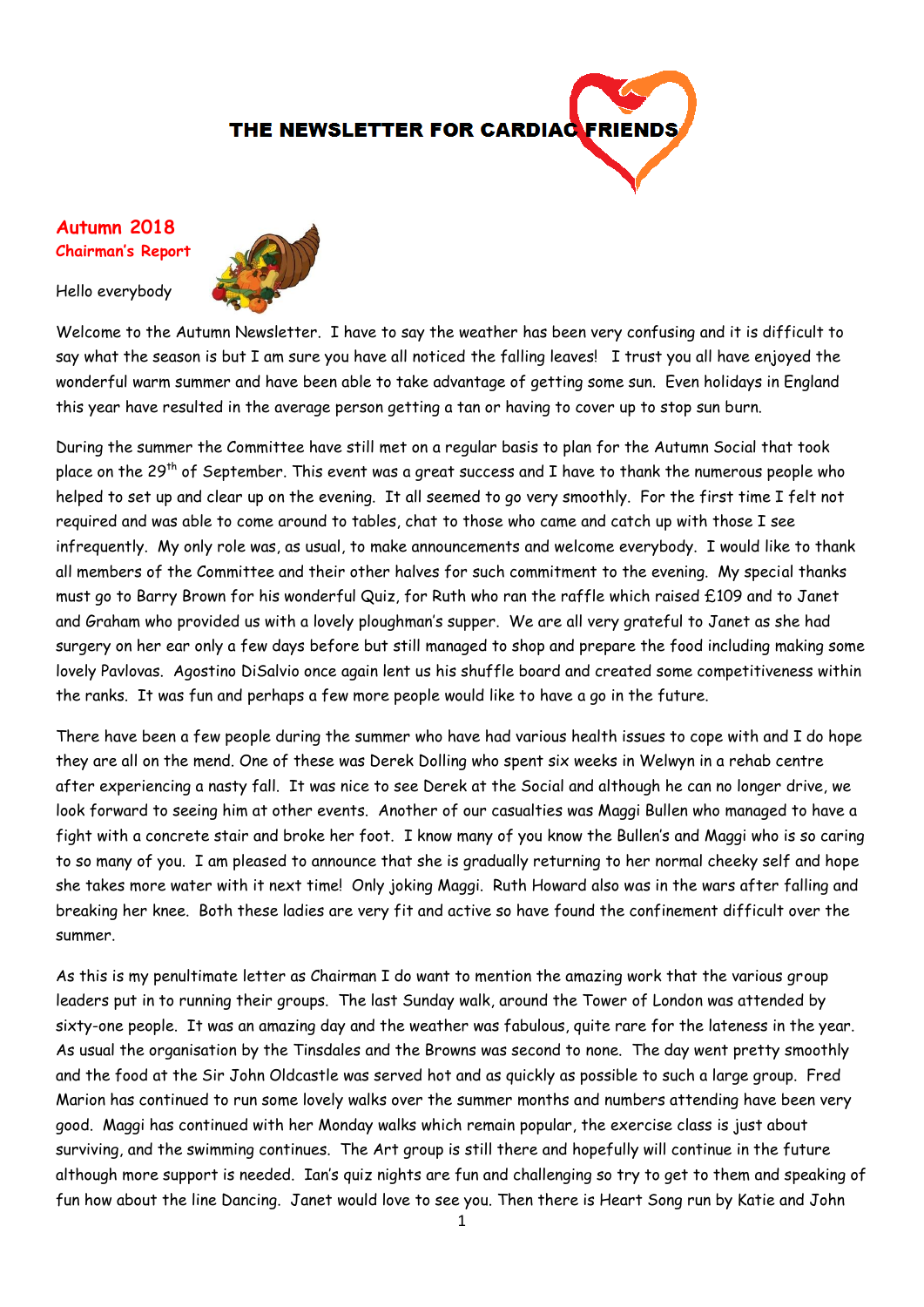# THE NEWSLETTER FOR CARDIAC **FRIENDS**

# **Autumn 2018 Chairman's Report**



Hello everybody

Welcome to the Autumn Newsletter. I have to say the weather has been very confusing and it is difficult to say what the season is but I am sure you have all noticed the falling leaves! I trust you all have enjoyed the wonderful warm summer and have been able to take advantage of getting some sun. Even holidays in England this year have resulted in the average person getting a tan or having to cover up to stop sun burn.

During the summer the Committee have still met on a regular basis to plan for the Autumn Social that took place on the 29<sup>th</sup> of September. This event was a great success and I have to thank the numerous people who helped to set up and clear up on the evening. It all seemed to go very smoothly. For the first time I felt not required and was able to come around to tables, chat to those who came and catch up with those I see infrequently. My only role was, as usual, to make announcements and welcome everybody. I would like to thank all members of the Committee and their other halves for such commitment to the evening. My special thanks must go to Barry Brown for his wonderful Quiz, for Ruth who ran the raffle which raised £109 and to Janet and Graham who provided us with a lovely ploughman's supper. We are all very grateful to Janet as she had surgery on her ear only a few days before but still managed to shop and prepare the food including making some lovely Pavlovas. Agostino DiSalvio once again lent us his shuffle board and created some competitiveness within the ranks. It was fun and perhaps a few more people would like to have a go in the future.

There have been a few people during the summer who have had various health issues to cope with and I do hope they are all on the mend. One of these was Derek Dolling who spent six weeks in Welwyn in a rehab centre after experiencing a nasty fall. It was nice to see Derek at the Social and although he can no longer drive, we look forward to seeing him at other events. Another of our casualties was Maggi Bullen who managed to have a fight with a concrete stair and broke her foot. I know many of you know the Bullen's and Maggi who is so caring to so many of you. I am pleased to announce that she is gradually returning to her normal cheeky self and hope she takes more water with it next time! Only joking Maggi. Ruth Howard also was in the wars after falling and breaking her knee. Both these ladies are very fit and active so have found the confinement difficult over the summer.

As this is my penultimate letter as Chairman I do want to mention the amazing work that the various group leaders put in to running their groups. The last Sunday walk, around the Tower of London was attended by sixty-one people. It was an amazing day and the weather was fabulous, quite rare for the lateness in the year. As usual the organisation by the Tinsdales and the Browns was second to none. The day went pretty smoothly and the food at the Sir John Oldcastle was served hot and as quickly as possible to such a large group. Fred Marion has continued to run some lovely walks over the summer months and numbers attending have been very good. Maggi has continued with her Monday walks which remain popular, the exercise class is just about surviving, and the swimming continues. The Art group is still there and hopefully will continue in the future although more support is needed. Ian's quiz nights are fun and challenging so try to get to them and speaking of fun how about the line Dancing. Janet would love to see you. Then there is Heart Song run by Katie and John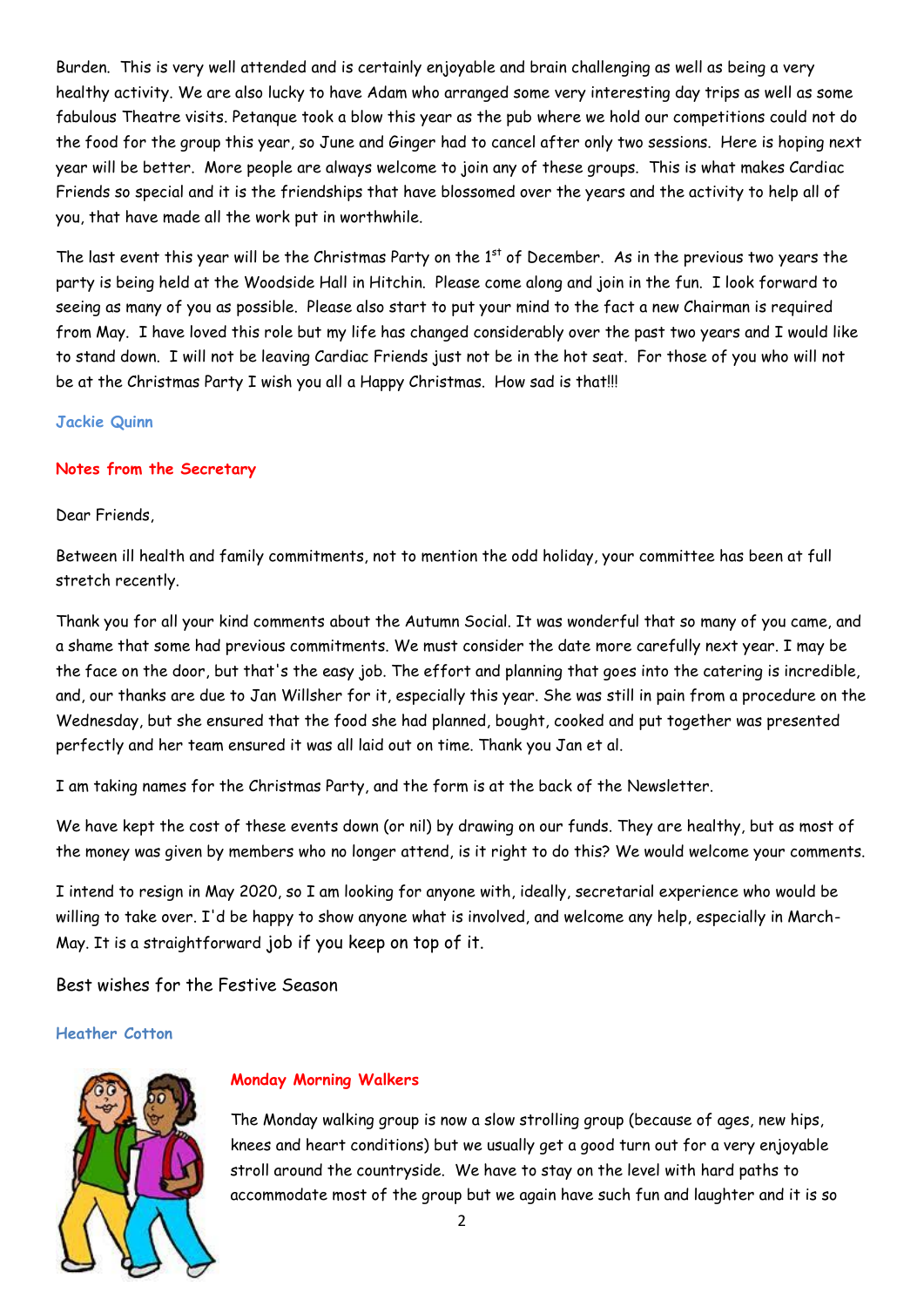Burden. This is very well attended and is certainly enjoyable and brain challenging as well as being a very healthy activity. We are also lucky to have Adam who arranged some very interesting day trips as well as some fabulous Theatre visits. Petanque took a blow this year as the pub where we hold our competitions could not do the food for the group this year, so June and Ginger had to cancel after only two sessions. Here is hoping next year will be better. More people are always welcome to join any of these groups. This is what makes Cardiac Friends so special and it is the friendships that have blossomed over the years and the activity to help all of you, that have made all the work put in worthwhile.

The last event this year will be the Christmas Party on the  $1<sup>st</sup>$  of December. As in the previous two years the party is being held at the Woodside Hall in Hitchin. Please come along and join in the fun. I look forward to seeing as many of you as possible. Please also start to put your mind to the fact a new Chairman is required from May. I have loved this role but my life has changed considerably over the past two years and I would like to stand down. I will not be leaving Cardiac Friends just not be in the hot seat. For those of you who will not be at the Christmas Party I wish you all a Happy Christmas. How sad is that!!!

#### **Jackie Quinn**

#### **Notes from the Secretary**

#### Dear Friends,

Between ill health and family commitments, not to mention the odd holiday, your committee has been at full stretch recently.

Thank you for all your kind comments about the Autumn Social. It was wonderful that so many of you came, and a shame that some had previous commitments. We must consider the date more carefully next year. I may be the face on the door, but that's the easy job. The effort and planning that goes into the catering is incredible, and, our thanks are due to Jan Willsher for it, especially this year. She was still in pain from a procedure on the Wednesday, but she ensured that the food she had planned, bought, cooked and put together was presented perfectly and her team ensured it was all laid out on time. Thank you Jan et al.

I am taking names for the Christmas Party, and the form is at the back of the Newsletter.

We have kept the cost of these events down (or nil) by drawing on our funds. They are healthy, but as most of the money was given by members who no longer attend, is it right to do this? We would welcome your comments.

I intend to resign in May 2020, so I am looking for anyone with, ideally, secretarial experience who would be willing to take over. I'd be happy to show anyone what is involved, and welcome any help, especially in March-May. It is a straightforward job if you keep on top of it.

Best wishes for the Festive Season

#### **Heather Cotton**



#### **Monday Morning Walkers**

The Monday walking group is now a slow strolling group (because of ages, new hips, knees and heart conditions) but we usually get a good turn out for a very enjoyable stroll around the countryside. We have to stay on the level with hard paths to accommodate most of the group but we again have such fun and laughter and it is so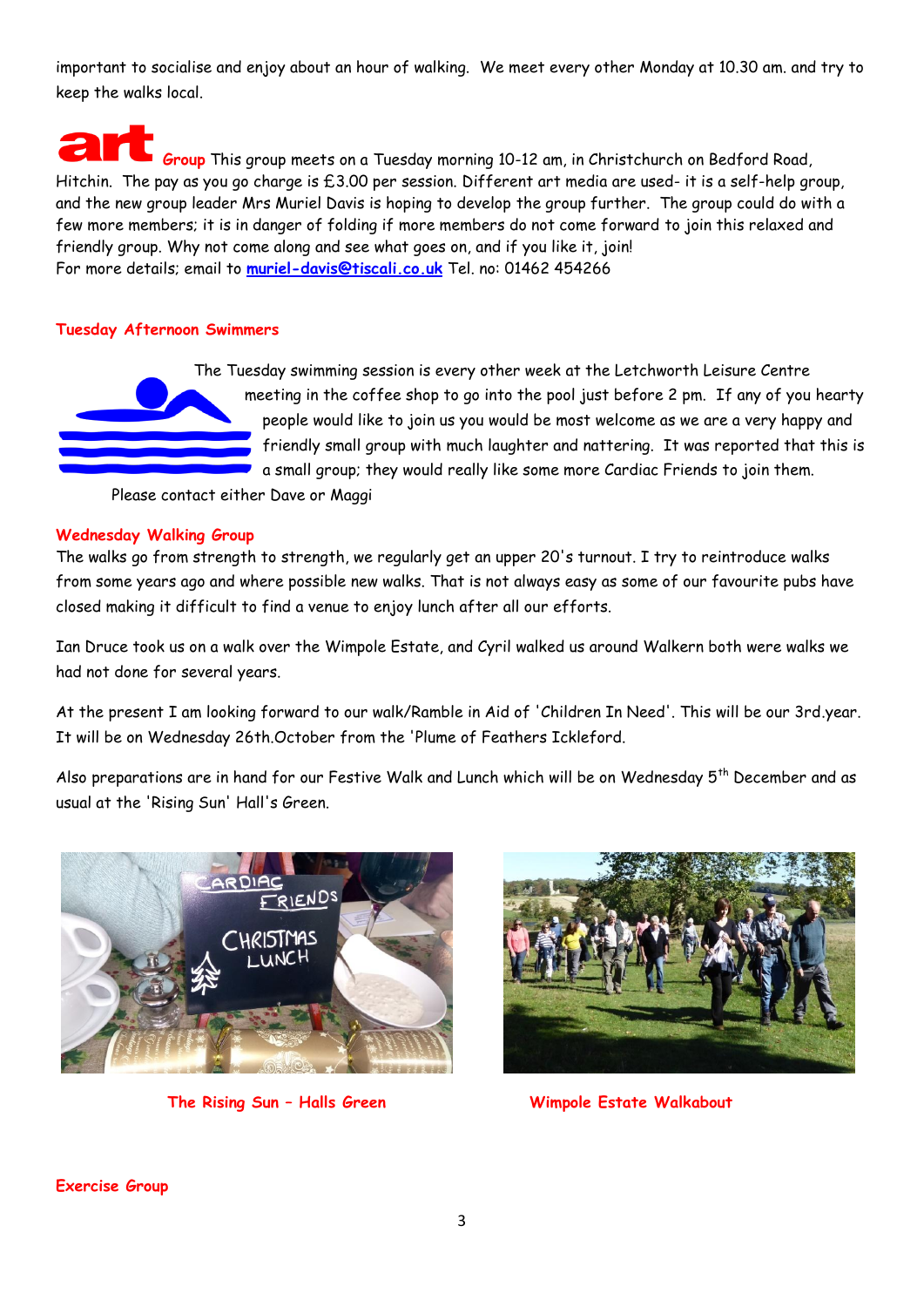important to socialise and enjoy about an hour of walking. We meet every other Monday at 10.30 am. and try to keep the walks local.

**Group** This group meets on a Tuesday morning 10-12 am, in Christchurch on Bedford Road, Hitchin. The pay as you go charge is £3.00 per session. Different art media are used- it is a self-help group, and the new group leader Mrs Muriel Davis is hoping to develop the group further. The group could do with a few more members; it is in danger of folding if more members do not come forward to join this relaxed and friendly group. Why not come along and see what goes on, and if you like it, join! For more details; email to **[muriel-davis@tiscali.co.uk](mailto:muriel-davis@tiscali.co.uk)** Tel. no: 01462 454266

#### **Tuesday Afternoon Swimmers**

The Tuesday swimming session is every other week at the Letchworth Leisure Centre meeting in the coffee shop to go into the pool just before 2 pm. If any of you hearty people would like to join us you would be most welcome as we are a very happy and friendly small group with much laughter and nattering. It was reported that this is a small group; they would really like some more Cardiac Friends to join them.

Please contact either Dave or Maggi

#### **Wednesday Walking Group**

The walks go from strength to strength, we regularly get an upper 20's turnout. I try to reintroduce walks from some years ago and where possible new walks. That is not always easy as some of our favourite pubs have closed making it difficult to find a venue to enjoy lunch after all our efforts.

Ian Druce took us on a walk over the Wimpole Estate, and Cyril walked us around Walkern both were walks we had not done for several years.

At the present I am looking forward to our walk/Ramble in Aid of 'Children In Need'. This will be our 3rd.year. It will be on Wednesday 26th.October from the 'Plume of Feathers Ickleford.

Also preparations are in hand for our Festive Walk and Lunch which will be on Wednesday 5<sup>th</sup> December and as usual at the 'Rising Sun' Hall's Green.



**The Rising Sun – Halls Green Wimpole Estate Walkabout**



#### **Exercise Group**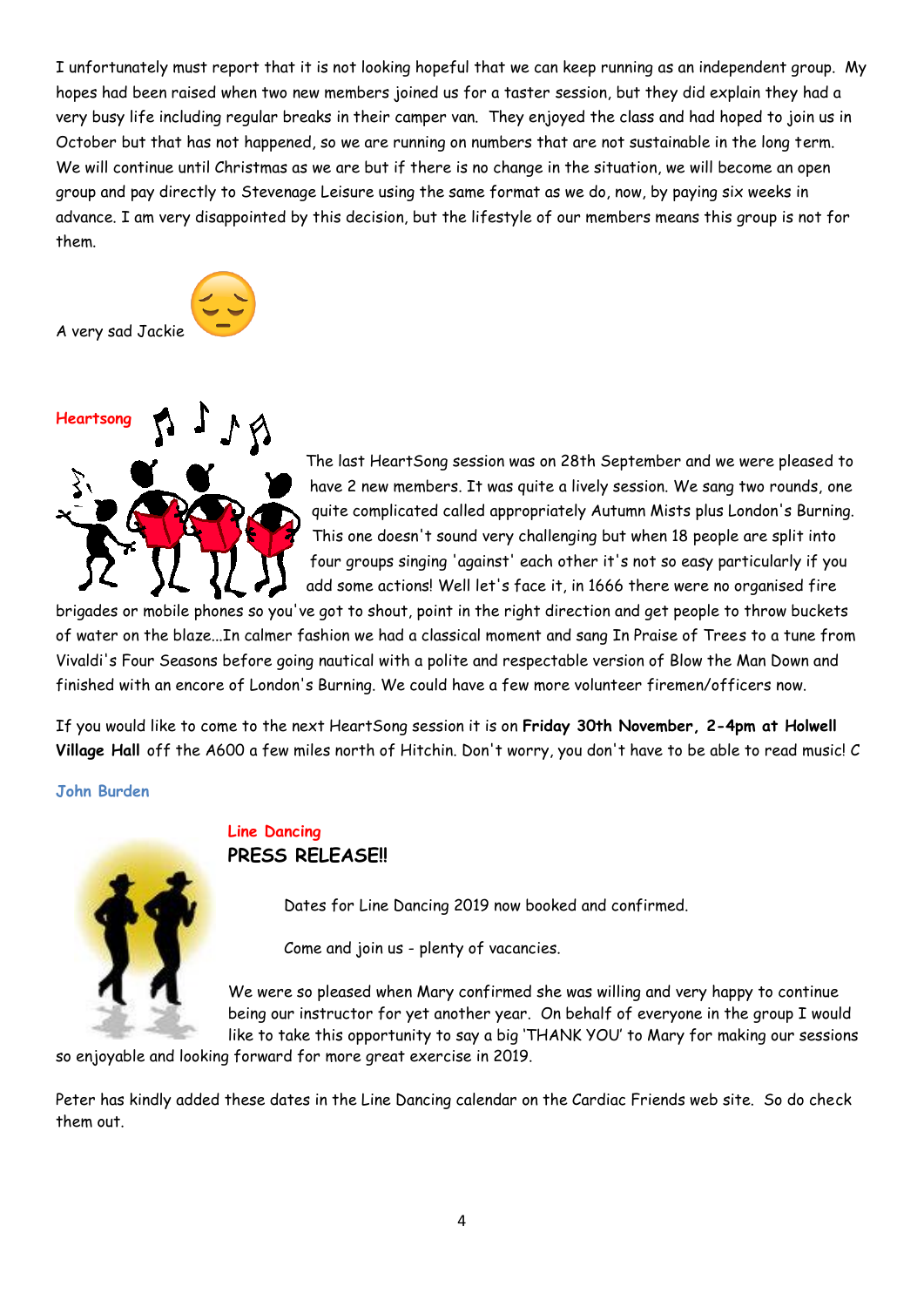I unfortunately must report that it is not looking hopeful that we can keep running as an independent group. My hopes had been raised when two new members joined us for a taster session, but they did explain they had a very busy life including regular breaks in their camper van. They enjoyed the class and had hoped to join us in October but that has not happened, so we are running on numbers that are not sustainable in the long term. We will continue until Christmas as we are but if there is no change in the situation, we will become an open group and pay directly to Stevenage Leisure using the same format as we do, now, by paying six weeks in advance. I am very disappointed by this decision, but the lifestyle of our members means this group is not for them.





The last HeartSong session was on 28th September and we were pleased to have 2 new members. It was quite a lively session. We sang two rounds, one quite complicated called appropriately Autumn Mists plus London's Burning. This one doesn't sound very challenging but when 18 people are split into four groups singing 'against' each other it's not so easy particularly if you add some actions! Well let's face it, in 1666 there were no organised fire

brigades or mobile phones so you've got to shout, point in the right direction and get people to throw buckets of water on the blaze...In calmer fashion we had a classical moment and sang In Praise of Trees to a tune from Vivaldi's Four Seasons before going nautical with a polite and respectable version of Blow the Man Down and finished with an encore of London's Burning. We could have a few more volunteer firemen/officers now.

If you would like to come to the next HeartSong session it is on **Friday 30th November, 2-4pm at Holwell Village Hall** off the A600 a few miles north of Hitchin. Don't worry, you don't have to be able to read music! C

#### **John Burden**

# **Line Dancing PRESS RELEASE!!**



Dates for Line Dancing 2019 now booked and confirmed.

Come and join us - plenty of vacancies.

We were so pleased when Mary confirmed she was willing and very happy to continue being our instructor for yet another year. On behalf of everyone in the group I would like to take this opportunity to say a big 'THANK YOU' to Mary for making our sessions

so enjoyable and looking forward for more great exercise in 2019.

Peter has kindly added these dates in the Line Dancing calendar on the Cardiac Friends web site. So do check them out.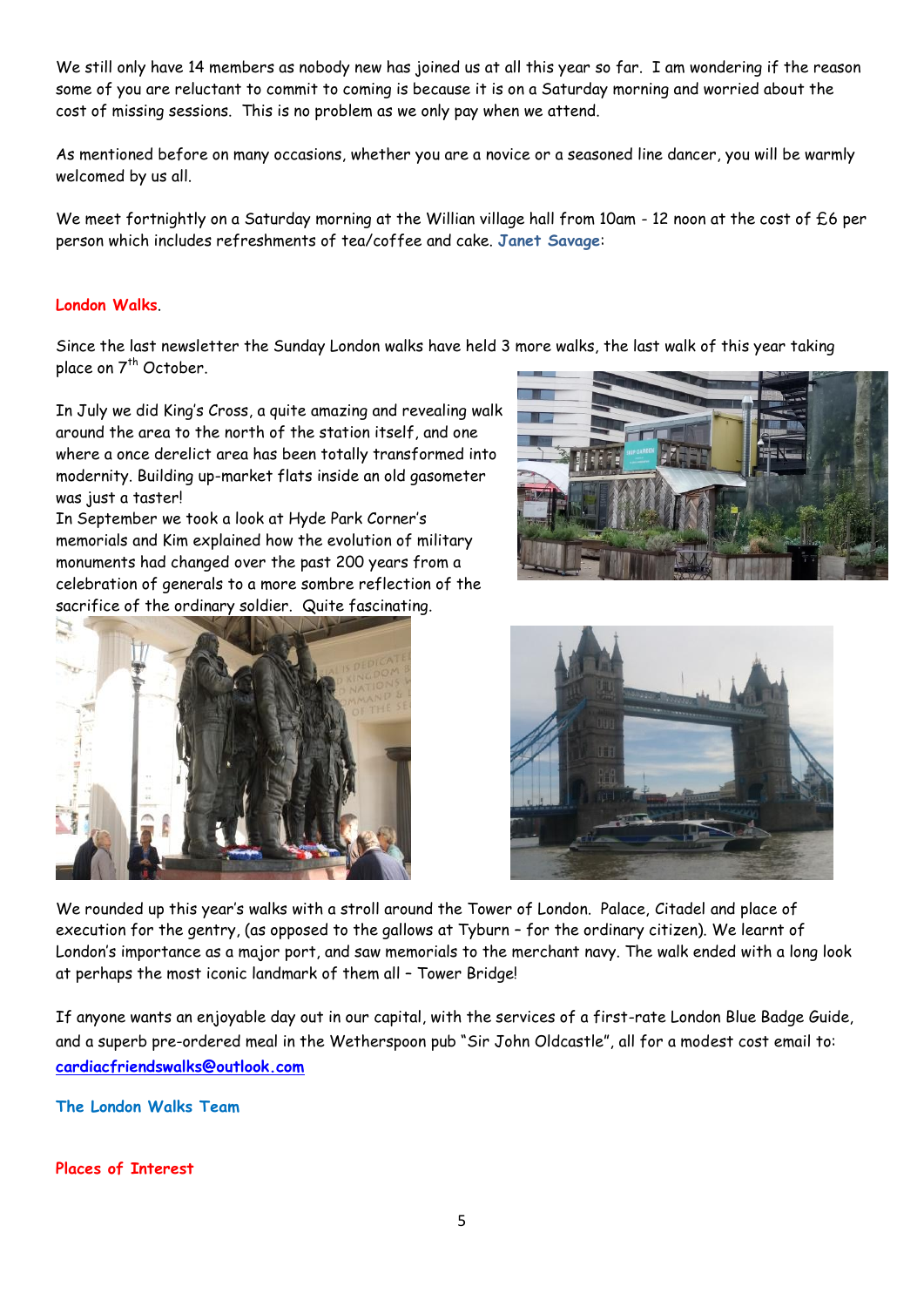We still only have 14 members as nobody new has joined us at all this year so far. I am wondering if the reason some of you are reluctant to commit to coming is because it is on a Saturday morning and worried about the cost of missing sessions. This is no problem as we only pay when we attend.

As mentioned before on many occasions, whether you are a novice or a seasoned line dancer, you will be warmly welcomed by us all.

We meet fortnightly on a Saturday morning at the Willian village hall from 10am - 12 noon at the cost of £6 per person which includes refreshments of tea/coffee and cake. **Janet Savage**:

### **London Walks**.

Since the last newsletter the Sunday London walks have held 3 more walks, the last walk of this year taking place on 7<sup>th</sup> October.

In July we did King's Cross, a quite amazing and revealing walk around the area to the north of the station itself, and one where a once derelict area has been totally transformed into modernity. Building up-market flats inside an old gasometer was just a taster!

In September we took a look at Hyde Park Corner's memorials and Kim explained how the evolution of military monuments had changed over the past 200 years from a celebration of generals to a more sombre reflection of the sacrifice of the ordinary soldier. Quite fascinating.







We rounded up this year's walks with a stroll around the Tower of London. Palace, Citadel and place of execution for the gentry, (as opposed to the gallows at Tyburn – for the ordinary citizen). We learnt of London's importance as a major port, and saw memorials to the merchant navy. The walk ended with a long look at perhaps the most iconic landmark of them all – Tower Bridge!

If anyone wants an enjoyable day out in our capital, with the services of a first-rate London Blue Badge Guide, and a superb pre-ordered meal in the Wetherspoon pub "Sir John Oldcastle", all for a modest cost email to: **[cardiacfriendswalks@outlook.com](mailto:cardiacfriendswalks@outlook.com)**

**The London Walks Team**

#### **Places of Interest**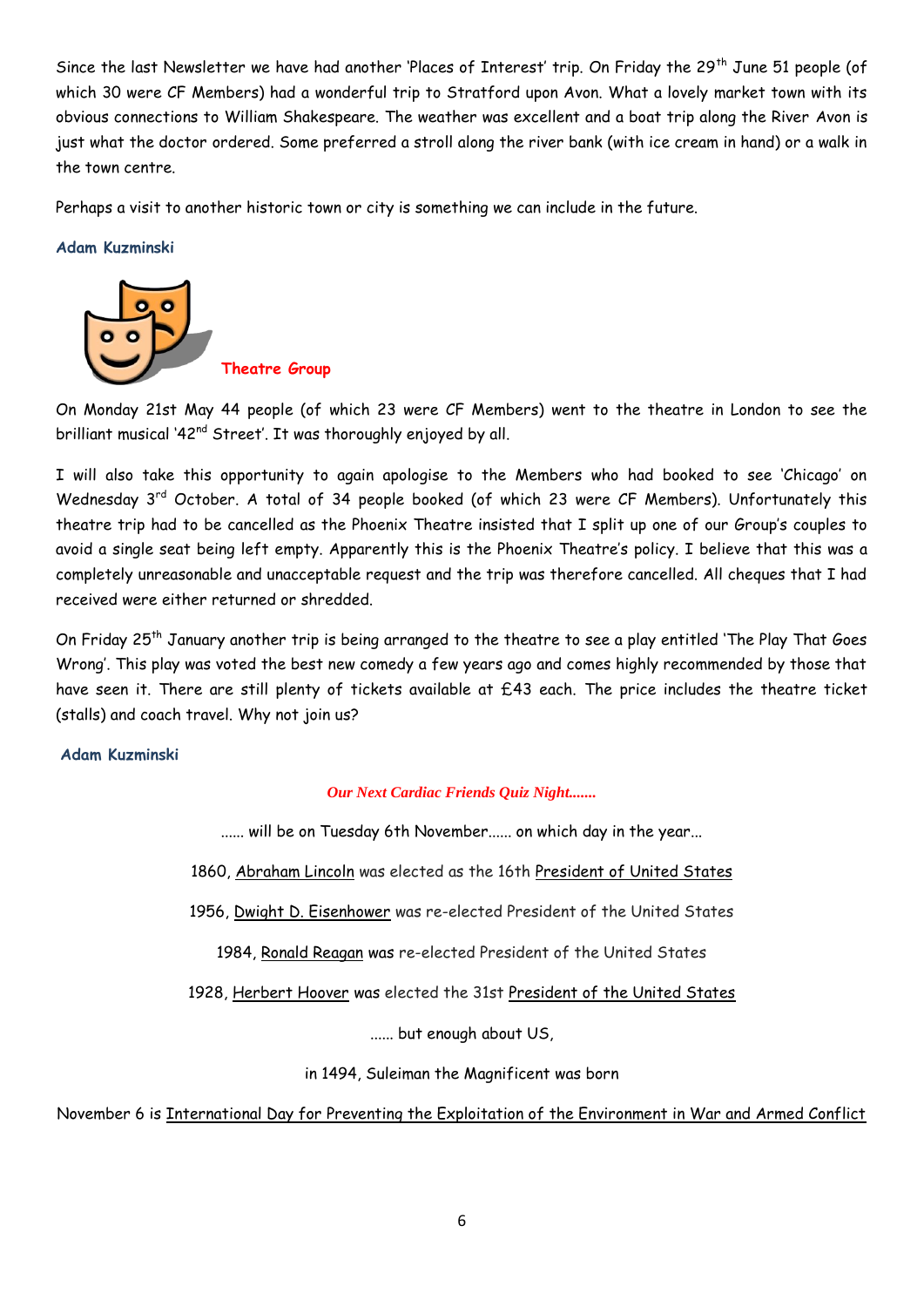Since the last Newsletter we have had another 'Places of Interest' trip. On Friday the 29<sup>th</sup> June 51 people (of which 30 were CF Members) had a wonderful trip to Stratford upon Avon. What a lovely market town with its obvious connections to William Shakespeare. The weather was excellent and a boat trip along the River Avon is just what the doctor ordered. Some preferred a stroll along the river bank (with ice cream in hand) or a walk in the town centre.

Perhaps a visit to another historic town or city is something we can include in the future.

#### **Adam Kuzminski**



**Theatre Group** 

On Monday 21st May 44 people (of which 23 were CF Members) went to the theatre in London to see the brilliant musical '42<sup>nd</sup> Street'. It was thoroughly enjoyed by all.

I will also take this opportunity to again apologise to the Members who had booked to see 'Chicago' on Wednesday 3<sup>rd</sup> October. A total of 34 people booked (of which 23 were CF Members). Unfortunately this theatre trip had to be cancelled as the Phoenix Theatre insisted that I split up one of our Group's couples to avoid a single seat being left empty. Apparently this is the Phoenix Theatre's policy. I believe that this was a completely unreasonable and unacceptable request and the trip was therefore cancelled. All cheques that I had received were either returned or shredded.

On Friday 25<sup>th</sup> January another trip is being arranged to the theatre to see a play entitled 'The Play That Goes Wrong'. This play was voted the best new comedy a few years ago and comes highly recommended by those that have seen it. There are still plenty of tickets available at £43 each. The price includes the theatre ticket (stalls) and coach travel. Why not join us?

### **Adam Kuzminski**

#### *Our Next Cardiac Friends Quiz Night.......*

...... will be on Tuesday 6th November...... on which day in the year...

1860, [Abraham Lincoln](https://en.wikipedia.org/wiki/Abraham_Lincoln) was elected as the 16th [President of United States](https://en.wikipedia.org/wiki/President_of_United_States)

1956, [Dwight D. Eisenhower](https://en.wikipedia.org/wiki/Dwight_D._Eisenhower) was re-elected President of the United States

1984, [Ronald Reagan](https://en.wikipedia.org/wiki/Ronald_Reagan) was re-elected President of the United States

1928, [Herbert Hoover](https://en.wikipedia.org/wiki/Herbert_Hoover) was elected the 31st [President of the United States](https://en.wikipedia.org/wiki/President_of_the_United_States)

...... but enough about US,

in 1494, Suleiman the Magnificent was born

November 6 is [International Day for Preventing the Exploitation of the Environment in War and Armed Conflict](https://en.wikipedia.org/wiki/International_Day_for_Preventing_the_Exploitation_of_the_Environment_in_War_and_Armed_Conflict)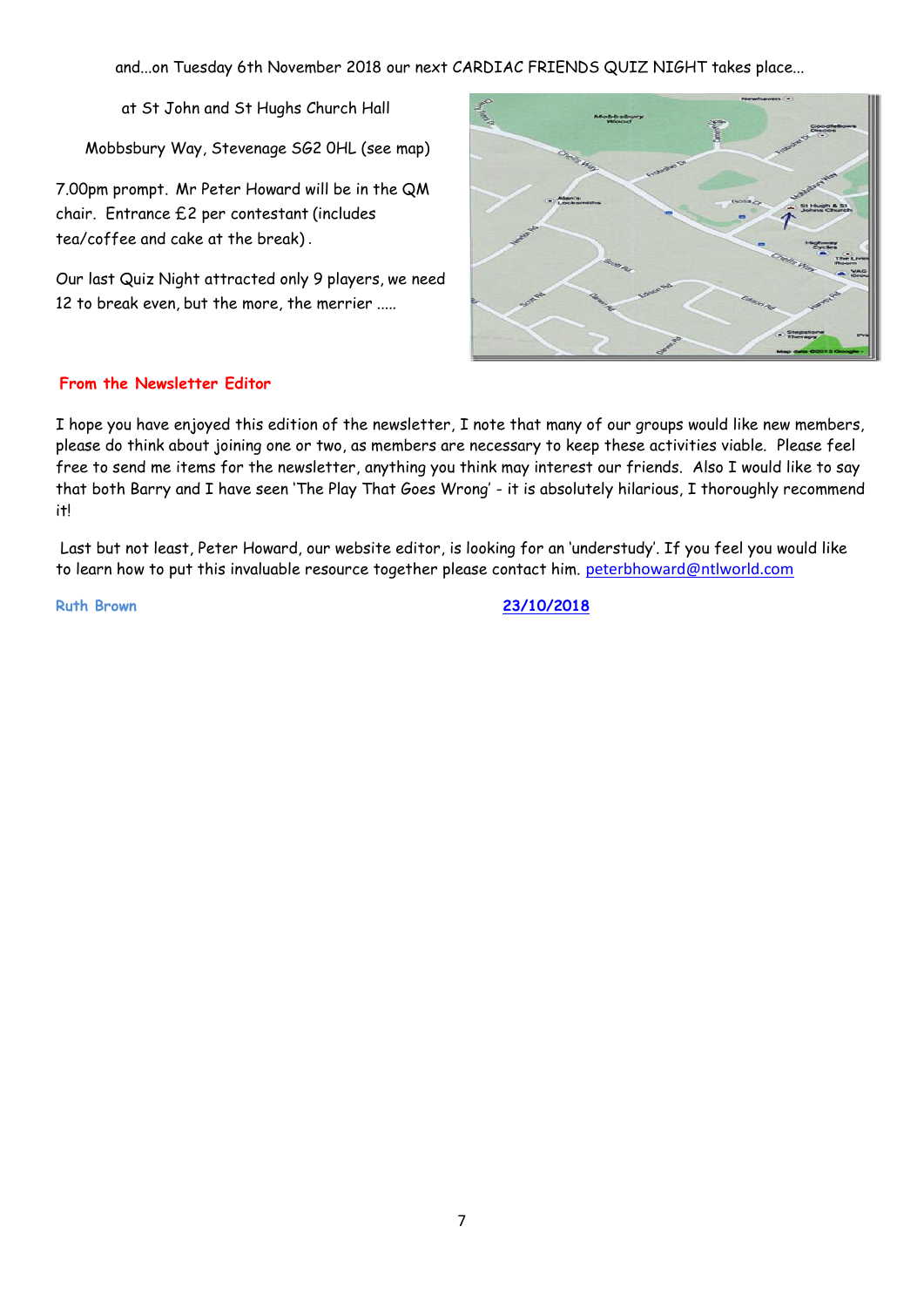and...on Tuesday 6th November 2018 our next CARDIAC FRIENDS QUIZ NIGHT takes place...

at St John and St Hughs Church Hall

Mobbsbury Way, Stevenage SG2 0HL (see map)

7.00pm prompt. Mr Peter Howard will be in the QM chair. Entrance £2 per contestant (includes tea/coffee and cake at the break) .

Our last Quiz Night attracted only 9 players, we need 12 to break even, but the more, the merrier .....



# **From the Newsletter Editor**

I hope you have enjoyed this edition of the newsletter, I note that many of our groups would like new members, please do think about joining one or two, as members are necessary to keep these activities viable. Please feel free to send me items for the newsletter, anything you think may interest our friends. Also I would like to say that both Barry and I have seen 'The Play That Goes Wrong' - it is absolutely hilarious, I thoroughly recommend it!

Last but not least, Peter Howard, our website editor, is looking for an 'understudy'. If you feel you would like to learn how to put this invaluable resource together please contact him. peterbhoward@ntlworld.com

**Ruth Brown 23/10/2018**